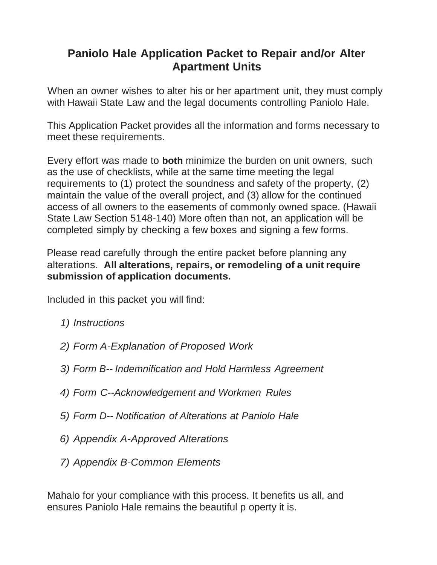# **Paniolo Hale Application Packet to Repair and/or Alter Apartment Units**

When an owner wishes to alter his or her apartment unit, they must comply with Hawaii State Law and the legal documents controlling Paniolo Hale.

This Application Packet provides all the information and forms necessary to meet these requirements.

Every effort was made to **both** minimize the burden on unit owners, such as the use of checklists, while at the same time meeting the legal requirements to (1) protect the soundness and safety of the property, (2) maintain the value of the overall project, and (3) allow for the continued access of all owners to the easements of commonly owned space. (Hawaii State Law Section 5148-140) More often than not, an application will be completed simply by checking a few boxes and signing a few forms.

Please read carefully through the entire packet before planning any alterations. **All alterations, repairs, or remodeling of a unit require submission of application documents.**

Included in this packet you will find:

- *1) Instructions*
- *2) Form A-Explanation of Proposed Work*
- *3) Form B-- Indemnification and Hold Harmless Agreement*
- *4) Form C--Acknowledgement and Workmen Rules*
- *5) Form D-- Notification of Alterations at Paniolo Hale*
- *6) Appendix A-Approved Alterations*
- *7) Appendix B-Common Elements*

Mahalo for your compliance with this process. It benefits us all, and ensures Paniolo Hale remains the beautiful p operty it is.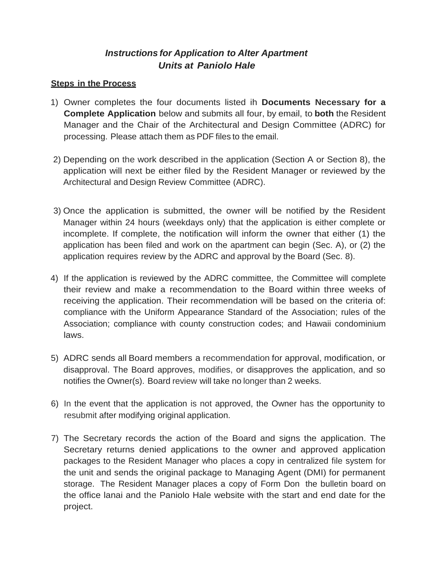# *Instructions for Application to Alter Apartment Units at Paniolo Hale*

## **Steps in the Process**

- 1) Owner completes the four documents listed ih **Documents Necessary for a Complete Application** below and submits all four, by email, to **both** the Resident Manager and the Chair of the Architectural and Design Committee (ADRC) for processing. Please attach them as PDF files to the email.
- 2) Depending on the work described in the application (Section A or Section 8), the application will next be either filed by the Resident Manager or reviewed by the Architectural and Design Review Committee (ADRC).
- 3) Once the application is submitted, the owner will be notified by the Resident Manager within 24 hours (weekdays only) that the application is either complete or incomplete. If complete, the notification will inform the owner that either (1) the application has been filed and work on the apartment can begin (Sec. A), or (2) the application requires review by the ADRC and approval by the Board (Sec. 8).
- 4) If the application is reviewed by the ADRC committee, the Committee will complete their review and make a recommendation to the Board within three weeks of receiving the application. Their recommendation will be based on the criteria of: compliance with the Uniform Appearance Standard of the Association; rules of the Association; compliance with county construction codes; and Hawaii condominium laws.
- 5) ADRC sends all Board members a recommendation for approval, modification, or disapproval. The Board approves, modifies, or disapproves the application, and so notifies the Owner(s). Board review will take no longer than 2 weeks.
- 6) In the event that the application is not approved, the Owner has the opportunity to resubmit after modifying original application.
- 7) The Secretary records the action of the Board and signs the application. The Secretary returns denied applications to the owner and approved application packages to the Resident Manager who places a copy in centralized file system for the unit and sends the original package to Managing Agent (DMI) for permanent storage. The Resident Manager places a copy of Form Don the bulletin board on the office lanai and the Paniolo Hale website with the start and end date for the project.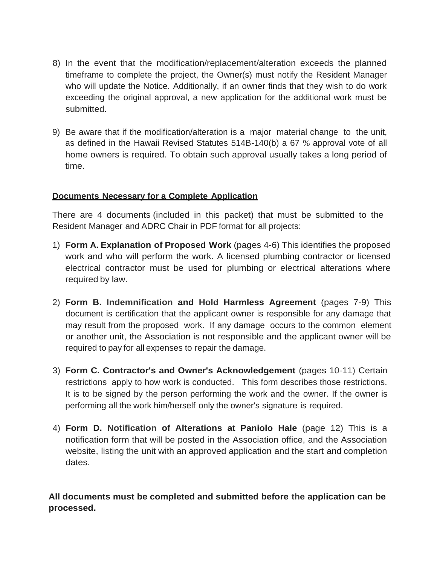- 8) In the event that the modification/replacement/alteration exceeds the planned timeframe to complete the project, the Owner(s) must notify the Resident Manager who will update the Notice. Additionally, if an owner finds that they wish to do work exceeding the original approval, a new application for the additional work must be submitted.
- 9) Be aware that if the modification/alteration is a major material change to the unit, as defined in the Hawaii Revised Statutes 514B-140(b) a 67 % approval vote of all home owners is required. To obtain such approval usually takes a long period of time.

# **Documents Necessary for a Complete Application**

There are 4 documents (included in this packet) that must be submitted to the Resident Manager and ADRC Chair in PDF format for all projects:

- 1) **Form A. Explanation of Proposed Work** (pages 4-6) This identifies the proposed work and who will perform the work. A licensed plumbing contractor or licensed electrical contractor must be used for plumbing or electrical alterations where required by law.
- 2) **Form B. Indemnification and Hold Harmless Agreement** (pages 7-9) This document is certification that the applicant owner is responsible for any damage that may result from the proposed work. If any damage occurs to the common element or another unit, the Association is not responsible and the applicant owner will be required to pay for all expenses to repair the damage.
- 3) **Form C. Contractor's and Owner's Acknowledgement** (pages 10-11) Certain restrictions apply to how work is conducted. This form describes those restrictions. It is to be signed by the person performing the work and the owner. If the owner is performing all the work him/herself only the owner's signature is required.
- 4) **Form D. Notification of Alterations at Paniolo Hale** (page 12) This is a notification form that will be posted in the Association office, and the Association website, listing the unit with an approved application and the start and completion dates.

**All documents must be completed and submitted before the application can be processed.**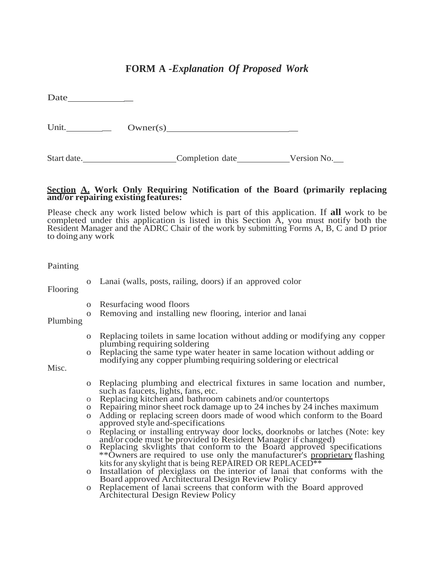# **FORM A** *-Explanation Of Proposed Work*

Date \_

Unit. \_ Owner(s) \_

Start date. Completion date Version No.

#### **Section A. Work Only Requiring Notification of the Board (primarily replacing and/or repairing existing features:**

Please check any work listed below which is part of this application. If **all** work to be completed under this application is listed in this Section A, you must notify both the Resident Manager and the ADRC Chair of the work by submitting Forms A, B, C and D prior to doing any work

#### Painting

Flooring Plumbing Misc. o Lanai (walls, posts, railing, doors) if an approved color o Resurfacing wood floors o Removing and installing new flooring, interior and lanai o Replacing toilets in same location without adding or modifying any copper plumbing requiring soldering o Replacing the same type water heater in same location without adding or modifying any copper plumbing requiring soldering or electrical o Replacing plumbing and electrical fixtures in same location and number, such as faucets, lights, fans, etc. o Replacing kitchen and bathroom cabinets and/or countertops o Repairing minorsheet rock damage up to 24 inches by 24 inches maximum o Adding or replacing screen doors made of wood which conform to the Board approved style and-specifications o Replacing or installing entryway door locks, doorknobs or latches (Note: key and/or code must be provided to Resident Manager if changed) o Replacing skvlights that conform to the Board approved specifications \*\*Owners are required to use only the manufacturer's proprietary flashing kits for any skylight that is being REPAIRED OR REPLACED<sup>\*\*</sup> o Installation of plexiglass on the interior of lanai that conforms with the Board approved Architectural Design Review Policy o Replacement of lanai screens that conform with the Board approved Architectural Design Review Policy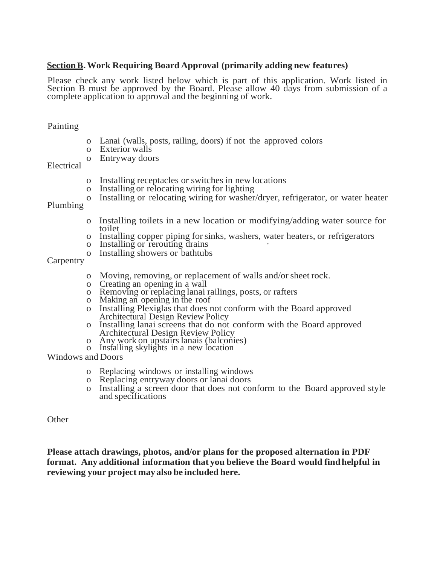## **SectionB.Work Requiring Board Approval (primarily adding new features)**

Please check any work listed below which is part of this application. Work listed in Section B must be approved by the Board. Please allow 40 days from submission of a complete application to approval and the beginning of work.

### Painting

- o Lanai (walls, posts, railing, doors) if not the approved colors
- o Exterior walls
- o Entryway doors

#### Electrical

- o Installing receptacles or switches in new locations
- o Installing or relocating wiring for lighting
- o Installing or relocating wiring for washer/dryer, refrigerator, or water heater

Plumbing

- o Installing toilets in a new location or modifying/adding water source for toilet
- o Installing copper piping forsinks, washers, water heaters, or refrigerators
- o Installing or rerouting drains
- o Installing showers or bathtubs

### **Carpentry**

- o Moving, removing, or replacement of walls and/orsheet rock.
- o Creating an opening in a wall
- o Removing or replacing lanai railings, posts, or rafters
- o Making an opening in the roof
- o Installing Plexiglas that does not conform with the Board approved Architectural Design Review Policy
- o Installing lanai screens that do not conform with the Board approved Architectural Design Review Policy
- o Any work on upstairslanais (balconies)
- o Installing skylights in a new location

Windows and Doors

- o Replacing windows or installing windows
- o Replacing entryway doors or lanai doors
- o Installing a screen door that does not conform to the Board approved style and specifications

**Other** 

**Please attach drawings, photos, and/or plans for the proposed alternation in PDF format. Any additional information that you believe the Board would findhelpful in reviewing your project mayalso be included here.**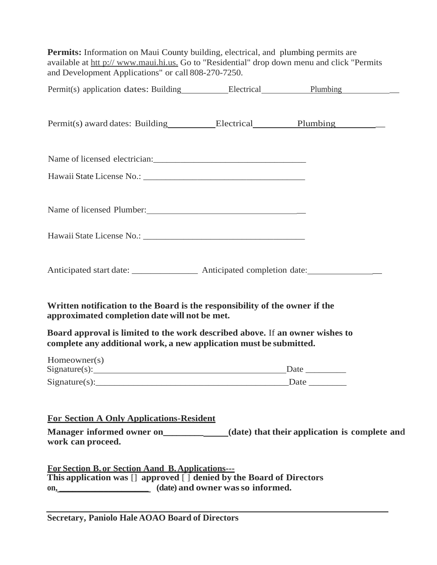**Permits:** Information on Maui County building, electrical, and plumbing permits are available at htt p:// [www.maui.hi.us.](http://www.maui.hi.us/) Go to "Residential" drop down menu and click "Permits and Development Applications" or call 808-270-7250. Permit(s) application dates: Building Electrical Plumbing Permit(s) award dates: Building Electrical Plumbing \_\_\_\_\_\_\_\_\_\_\_\_\_\_\_\_\_\_\_\_\_\_\_\_\_\_\_\_ Name of licensed electrician: Hawaii State License No.: Name of licensed Plumber: \_ Hawaii State License No.: Anticipated start date: \_\_\_\_\_\_\_\_\_\_\_\_\_\_\_\_\_\_ Anticipated completion date: \_\_\_\_\_\_\_\_\_\_\_\_\_\_ **Written notification to the Board is the responsibility of the owner if the approximated completion date will not be met. Board approval is limited to the work described above.** If **an owner wishes to complete any additional work, a new application must be submitted.** Homeowner(s)  $Signature(s):$  Date  $Signature(s):$  Date **For Section A Only Applications-Resident Manager informed owner on\_\_\_\_\_\_\_\_\_ (date) that their application is complete and work can proceed. For Section B. or Section Aand B.Applications--- This application was** [] **approved** [ ] **denied by the Board of Directors on, \_\_\_\_\_\_\_\_\_\_\_\_\_\_\_\_\_\_\_\_ (date) and owner wasso informed.**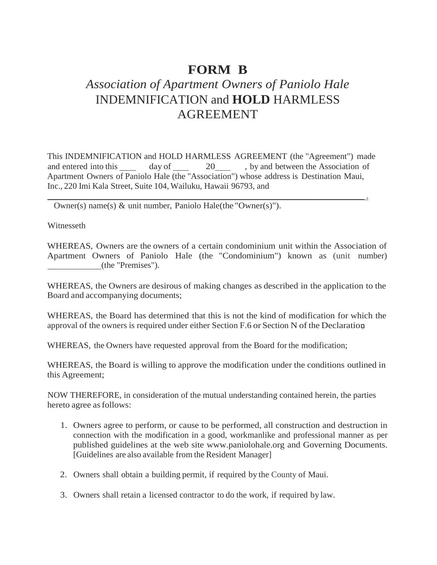# **FORM B**

# *Association of Apartment Owners of Paniolo Hale* INDEMNIFICATION and **HOLD** HARMLESS AGREEMENT

This INDEMNIFICATION and HOLD HARMLESS AGREEMENT (the "Agreement") made and entered into this day of 20 , by and between the Association of Apartment Owners of Paniolo Hale (the "Association") whose address is Destination Maui, Inc., 220 Imi Kala Street, Suite 104, Wailuku, Hawaii 96793, and

 $\mathcal{L}_\mathcal{L} = \mathcal{L}_\mathcal{L} = \mathcal{L}_\mathcal{L} = \mathcal{L}_\mathcal{L} = \mathcal{L}_\mathcal{L} = \mathcal{L}_\mathcal{L} = \mathcal{L}_\mathcal{L} = \mathcal{L}_\mathcal{L} = \mathcal{L}_\mathcal{L} = \mathcal{L}_\mathcal{L} = \mathcal{L}_\mathcal{L} = \mathcal{L}_\mathcal{L} = \mathcal{L}_\mathcal{L} = \mathcal{L}_\mathcal{L} = \mathcal{L}_\mathcal{L} = \mathcal{L}_\mathcal{L} = \mathcal{L}_\mathcal{L}$ 

Owner(s) name(s) & unit number, Paniolo Hale(the "Owner(s)").

Witnesseth

WHEREAS, Owners are the owners of a certain condominium unit within the Association of Apartment Owners of Paniolo Hale (the "Condominium") known as (unit number) (the "Premises").

WHEREAS, the Owners are desirous of making changes as described in the application to the Board and accompanying documents;

WHEREAS, the Board has determined that this is not the kind of modification for which the approval of the owners is required under either Section F.6 or Section N of the Declaration;

WHEREAS, the Owners have requested approval from the Board for the modification;

WHEREAS, the Board is willing to approve the modification under the conditions outlined in this Agreement;

NOW THEREFORE, in consideration of the mutual understanding contained herein, the parties hereto agree as follows:

- 1. Owners agree to perform, or cause to be performed, all construction and destruction in connection with the modification in a good, workmanlike and professional manner as per published guidelines at the web site [www.paniolohale.org a](http://www.paniolohale.org/)nd Governing Documents. [Guidelines are also available from the Resident Manager]
- 2. Owners shall obtain a building permit, if required by the County of Maui.
- 3. Owners shall retain a licensed contractor to do the work, if required by law.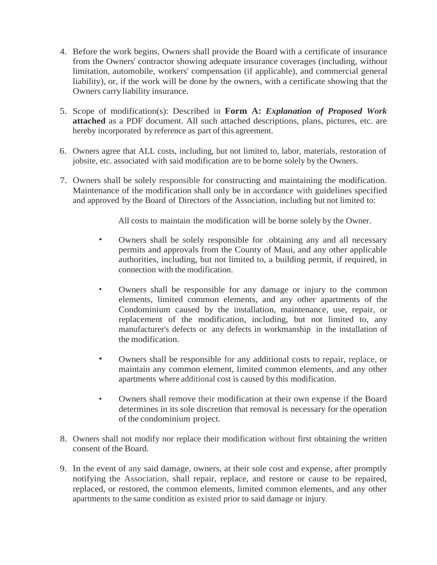- 4. Before the work begins, Owners shall provide the Board with a certificate of insurance from the Owners' contractor showing adequate insurance coverages (including, without limitation, automobile, workers' compensation (if applicable), and commercial general liability), or, if the work will be done by the owners, with a certificate showing that the Owners carry liability insurance.
- 5. Scope of modification(s): Described in **Form A:** *Explanation of Proposed Work* **attached** as a PDF document. All such attached descriptions, plans, pictures, etc. are hereby incorporated by reference as part of this agreement.
- 6. Owners agree that ALL costs, including, but not limited to, labor, materials, restoration of jobsite, etc. associated with said modification are to be borne solely by the Owners.
- 7. Owners shall be solely responsible for constructing and maintaining the modification. Maintenance of the modification shall only be in accordance with guidelines specified and approved by the Board of Directors of the Association, including but not limited to:

All costs to maintain the modification will be borne solely by the Owner.

- Owners shall be solely responsible for .obtaining any and all necessary permits and approvals from the County of Maui, and any other applicable authorities, including, but not limited to, a building permit, if required, in connection with the modification.
- Owners shall be responsible for any damage or injury to the common elements, limited common elements, and any other apartments of the Condominium caused by the installation, maintenance, use, repair, or replacement of the modification, including, but not limited to, any manufacturer's defects or any defects in workmanship in the installation of the modification.
- Owners shall be responsible for any additional costs to repair, replace, or maintain any common element, limited common elements, and any other apartments where additional cost is caused by this modification.
- Owners shall remove their modification at their own expense if the Board determines in its sole discretion that removal is necessary for the operation of the condominium project.
- 8. Owners shall not modify nor replace their modification without first obtaining the written consent of the Board.
- 9. In the event of any said damage, owners, at their sole cost and expense, after promptly notifying the Association, shall repair, replace, and restore or cause to be repaired, replaced, or restored, the common elements, limited common elements, and any other apartments to the same condition as existed prior to said damage or injury.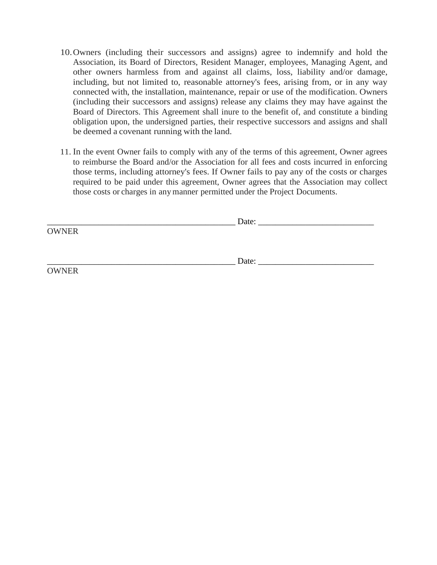- 10.Owners (including their successors and assigns) agree to indemnify and hold the Association, its Board of Directors, Resident Manager, employees, Managing Agent, and other owners harmless from and against all claims, loss, liability and/or damage, including, but not limited to, reasonable attorney's fees, arising from, or in any way connected with, the installation, maintenance, repair or use of the modification. Owners (including their successors and assigns) release any claims they may have against the Board of Directors. This Agreement shall inure to the benefit of, and constitute a binding obligation upon, the undersigned parties, their respective successors and assigns and shall be deemed a covenant running with the land.
- 11. In the event Owner fails to comply with any of the terms of this agreement, Owner agrees to reimburse the Board and/or the Association for all fees and costs incurred in enforcing those terms, including attorney's fees. If Owner fails to pay any of the costs or charges required to be paid under this agreement, Owner agrees that the Association may collect those costs or charges in anymanner permitted under the Project Documents.

|              | Date: |  |
|--------------|-------|--|
| <b>OWNER</b> |       |  |
|              |       |  |
|              |       |  |
|              | Date: |  |
| <b>OWNER</b> |       |  |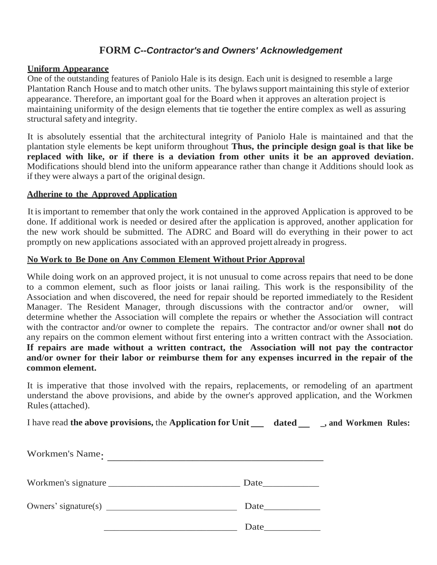# **FORM** *C--Contractor's and Owners' Acknowledgement*

## **Uniform Appearance**

One of the outstanding features of Paniolo Hale is its design. Each unit is designed to resemble a large Plantation Ranch House and to match other units. The bylaws support maintaining this style of exterior appearance. Therefore, an important goal for the Board when it approves an alteration project is maintaining uniformity of the design elements that tie together the entire complex as well as assuring structural safety and integrity.

It is absolutely essential that the architectural integrity of Paniolo Hale is maintained and that the plantation style elements be kept uniform throughout **Thus, the principle design goal is that like be replaced with like, or if there is a deviation from other units it be an approved deviation.** Modifications should blend into the uniform appearance rather than change it Additions should look as if they were always a part of the original design.

## **Adherine to the Approved Application**

It is important to remember that only the work contained in the approved Application is approved to be done. If additional work is needed or desired after the application is approved, another application for the new work should be submitted. The ADRC and Board will do everything in their power to act promptly on new applications associated with an approved projett already in progress.

## **No Work to Be Done on Any Common Element Without Prior Approval**

While doing work on an approved project, it is not unusual to come across repairs that need to be done to a common element, such as floor joists or lanai railing. This work is the responsibility of the Association and when discovered, the need for repair should be reported immediately to the Resident Manager. The Resident Manager, through discussions with the contractor and/or owner, will determine whether the Association will complete the repairs or whether the Association will contract with the contractor and/or owner to complete the repairs. The contractor and/or owner shall **not** do any repairs on the common element without first entering into a written contract with the Association. **If repairs are made without a written contract, the Association will not pay the contractor and/or owner for their labor or reimburse them for any expenses incurred in the repair of the common element.**

It is imperative that those involved with the repairs, replacements, or remodeling of an apartment understand the above provisions, and abide by the owner's approved application, and the Workmen Rules(attached).

I have read **the above provisions,** the **Application for Unit dated \_, and Workmen Rules:**

| Workmen's Name.     |                             |
|---------------------|-----------------------------|
| Workmen's signature | <b>Date</b> and <b>Date</b> |
|                     | <b>Date</b> and <b>Date</b> |
|                     | Date                        |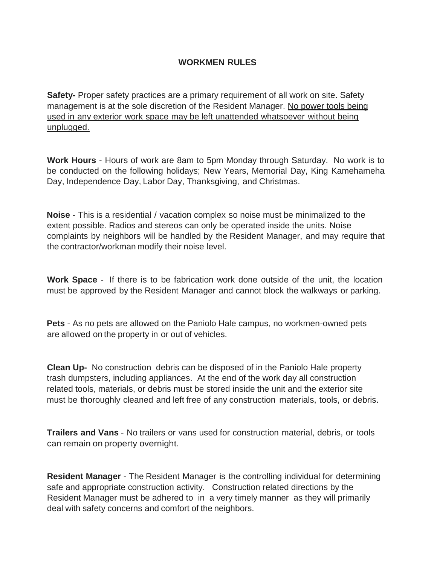# **WORKMEN RULES**

**Safety-** Proper safety practices are a primary requirement of all work on site. Safety management is at the sole discretion of the Resident Manager. No power tools being used in any exterior work space may be left unattended whatsoever without being unplugged.

**Work Hours** - Hours of work are 8am to 5pm Monday through Saturday. No work is to be conducted on the following holidays; New Years, Memorial Day, King Kamehameha Day, Independence Day, Labor Day, Thanksgiving, and Christmas.

**Noise** - This is a residential / vacation complex so noise must be minimalized to the extent possible. Radios and stereos can only be operated inside the units. Noise complaints by neighbors will be handled by the Resident Manager, and may require that the contractor/workman modify their noise level.

**Work Space** - If there is to be fabrication work done outside of the unit, the location must be approved by the Resident Manager and cannot block the walkways or parking.

**Pets** - As no pets are allowed on the Paniolo Hale campus, no workmen-owned pets are allowed on the property in or out of vehicles.

**Clean Up-** No construction debris can be disposed of in the Paniolo Hale property trash dumpsters, including appliances. At the end of the work day all construction related tools, materials, or debris must be stored inside the unit and the exterior site must be thoroughly cleaned and left free of any construction materials, tools, or debris.

**Trailers and Vans** - No trailers or vans used for construction material, debris, or tools can remain on property overnight.

**Resident Manager** - The Resident Manager is the controlling individual for determining safe and appropriate construction activity. Construction related directions by the Resident Manager must be adhered to in a very timely manner as they will primarily deal with safety concerns and comfort of the neighbors.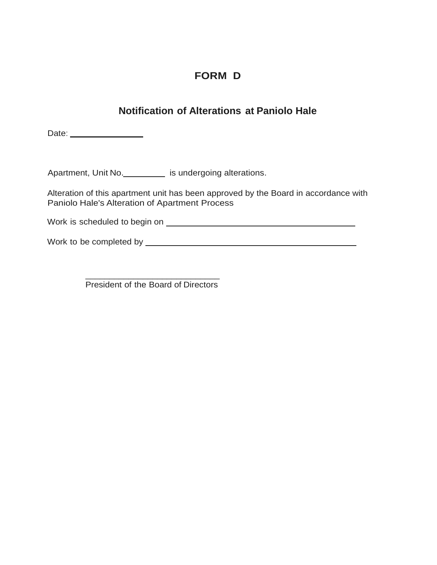# **FORM D**

# **Notification of Alterations at Paniolo Hale**

Date:

Apartment, Unit No. is undergoing alterations.

Alteration of this apartment unit has been approved by the Board in accordance with Paniolo Hale's Alteration of Apartment Process

Work is scheduled to begin on **contain the container of the contact of the contact of the contact of the contact of the contact of the contact of the contact of the contact of the contact of the contact of the contact of t** 

Work to be completed by

\_\_\_\_\_\_\_\_\_\_\_\_\_\_\_\_\_\_\_\_\_\_\_\_\_\_\_\_ President of the Board of Directors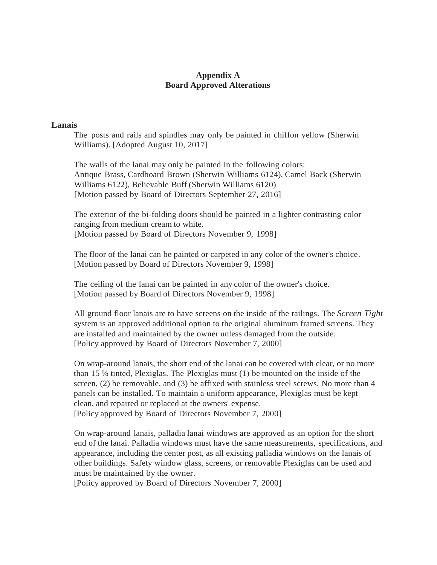### **Appendix A Board Approved Alterations**

### **Lanais**

The posts and rails and spindles may only be painted in chiffon yellow (Sherwin Williams). [Adopted August 10, 2017]

The walls of the lanai may only be painted in the following colors: Antique Brass, Cardboard Brown (Sherwin Williams 6124), Camel Back (Sherwin Williams 6122), Believable Buff (Sherwin Williams 6120) [Motion passed by Board of Directors September 27, 2016]

The exterior of the bi-folding doors should be painted in a lighter contrasting color ranging from medium cream to white. [Motion passed by Board of Directors November 9, 1998]

The floor of the lanai can be painted or carpeted in any color of the owner's choice. [Motion passed by Board of Directors November 9, 1998]

The ceiling of the lanai can be painted in any color of the owner's choice. [Motion passed by Board of Directors November 9, 1998]

All ground floor lanais are to have screens on the inside of the railings. The *Screen Tight* system is an approved additional option to the original aluminum framed screens. They are installed and maintained by the owner unless damaged from the outside. [Policy approved by Board of Directors November 7, 2000]

On wrap-around lanais, the short end of the lanai can be covered with clear, or no more than 15 % tinted, Plexiglas. The Plexiglas must (1) be mounted on the inside of the screen, (2) be removable, and (3) be affixed with stainless steel screws. No more than 4 panels can be installed. To maintain a uniform appearance, Plexiglas must be kept clean, and repaired or replaced at the owners' expense. [Policy approved by Board of Directors November 7, 2000]

On wrap-around lanais, palladia lanai windows are approved as an option for the short end of the lanai. Palladia windows must have the same measurements, specifications, and appearance, including the center post, as all existing palladia windows on the lanais of other buildings. Safety window glass, screens, or removable Plexiglas can be used and must be maintained by the owner.

[Policy approved by Board of Directors November 7, 2000]